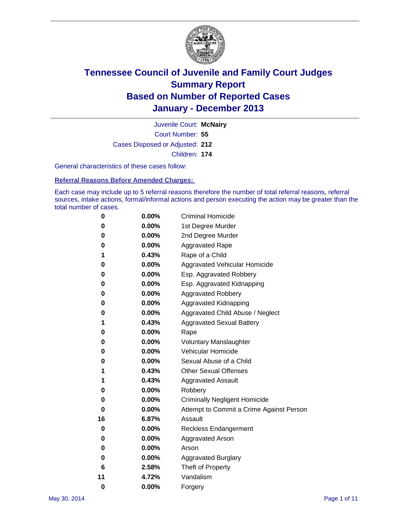

Court Number: **55** Juvenile Court: **McNairy** Cases Disposed or Adjusted: **212** Children: **174**

General characteristics of these cases follow:

**Referral Reasons Before Amended Charges:** 

Each case may include up to 5 referral reasons therefore the number of total referral reasons, referral sources, intake actions, formal/informal actions and person executing the action may be greater than the total number of cases.

| 0        | 0.00%    | <b>Criminal Homicide</b>                 |
|----------|----------|------------------------------------------|
| 0        | 0.00%    | 1st Degree Murder                        |
| 0        | 0.00%    | 2nd Degree Murder                        |
| 0        | $0.00\%$ | <b>Aggravated Rape</b>                   |
| 1        | 0.43%    | Rape of a Child                          |
| 0        | 0.00%    | <b>Aggravated Vehicular Homicide</b>     |
| 0        | 0.00%    | Esp. Aggravated Robbery                  |
| 0        | 0.00%    | Esp. Aggravated Kidnapping               |
| 0        | $0.00\%$ | <b>Aggravated Robbery</b>                |
| 0        | 0.00%    | Aggravated Kidnapping                    |
| 0        | 0.00%    | Aggravated Child Abuse / Neglect         |
| 1        | 0.43%    | <b>Aggravated Sexual Battery</b>         |
| 0        | 0.00%    | Rape                                     |
| 0        | 0.00%    | <b>Voluntary Manslaughter</b>            |
| 0        | 0.00%    | Vehicular Homicide                       |
| 0        | 0.00%    | Sexual Abuse of a Child                  |
| 1        | 0.43%    | <b>Other Sexual Offenses</b>             |
| 1        | 0.43%    | <b>Aggravated Assault</b>                |
| 0        | 0.00%    | Robbery                                  |
| 0        | 0.00%    | <b>Criminally Negligent Homicide</b>     |
| 0        | 0.00%    | Attempt to Commit a Crime Against Person |
| 16       | 6.87%    | Assault                                  |
| 0        | 0.00%    | <b>Reckless Endangerment</b>             |
| 0        | 0.00%    | Aggravated Arson                         |
| 0        | $0.00\%$ | Arson                                    |
| 0        | 0.00%    | <b>Aggravated Burglary</b>               |
| 6        | 2.58%    | Theft of Property                        |
| 11       | 4.72%    | Vandalism                                |
| $\bf{0}$ | 0.00%    | Forgery                                  |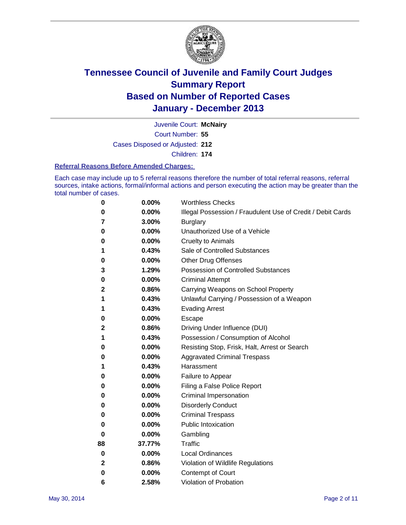

Court Number: **55** Juvenile Court: **McNairy** Cases Disposed or Adjusted: **212** Children: **174**

#### **Referral Reasons Before Amended Charges:**

Each case may include up to 5 referral reasons therefore the number of total referral reasons, referral sources, intake actions, formal/informal actions and person executing the action may be greater than the total number of cases.

| 0            | 0.00%  | <b>Worthless Checks</b>                                     |
|--------------|--------|-------------------------------------------------------------|
| 0            | 0.00%  | Illegal Possession / Fraudulent Use of Credit / Debit Cards |
| 7            | 3.00%  | <b>Burglary</b>                                             |
| 0            | 0.00%  | Unauthorized Use of a Vehicle                               |
| 0            | 0.00%  | <b>Cruelty to Animals</b>                                   |
| 1            | 0.43%  | Sale of Controlled Substances                               |
| 0            | 0.00%  | <b>Other Drug Offenses</b>                                  |
| 3            | 1.29%  | Possession of Controlled Substances                         |
| 0            | 0.00%  | <b>Criminal Attempt</b>                                     |
| 2            | 0.86%  | Carrying Weapons on School Property                         |
| 1            | 0.43%  | Unlawful Carrying / Possession of a Weapon                  |
| 1            | 0.43%  | <b>Evading Arrest</b>                                       |
| 0            | 0.00%  | Escape                                                      |
| 2            | 0.86%  | Driving Under Influence (DUI)                               |
| 1            | 0.43%  | Possession / Consumption of Alcohol                         |
| 0            | 0.00%  | Resisting Stop, Frisk, Halt, Arrest or Search               |
| 0            | 0.00%  | <b>Aggravated Criminal Trespass</b>                         |
| 1            | 0.43%  | Harassment                                                  |
| 0            | 0.00%  | Failure to Appear                                           |
| 0            | 0.00%  | Filing a False Police Report                                |
| 0            | 0.00%  | Criminal Impersonation                                      |
| 0            | 0.00%  | <b>Disorderly Conduct</b>                                   |
| 0            | 0.00%  | <b>Criminal Trespass</b>                                    |
| 0            | 0.00%  | <b>Public Intoxication</b>                                  |
| 0            | 0.00%  | Gambling                                                    |
| 88           | 37.77% | Traffic                                                     |
| 0            | 0.00%  | <b>Local Ordinances</b>                                     |
| $\mathbf{2}$ | 0.86%  | Violation of Wildlife Regulations                           |
| 0            | 0.00%  | <b>Contempt of Court</b>                                    |
| 6            | 2.58%  | Violation of Probation                                      |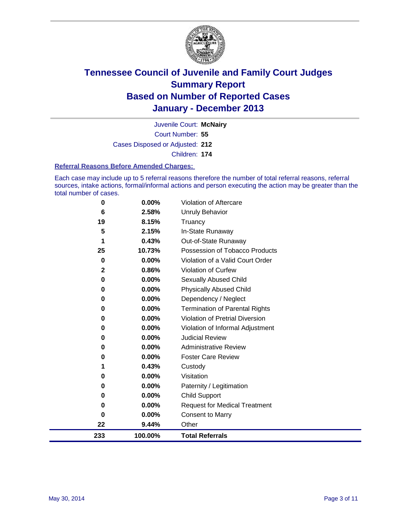

Court Number: **55** Juvenile Court: **McNairy** Cases Disposed or Adjusted: **212** Children: **174**

#### **Referral Reasons Before Amended Charges:**

Each case may include up to 5 referral reasons therefore the number of total referral reasons, referral sources, intake actions, formal/informal actions and person executing the action may be greater than the total number of cases.

| 0            | 0.00%    | Violation of Aftercare                 |
|--------------|----------|----------------------------------------|
| 6            | 2.58%    | <b>Unruly Behavior</b>                 |
| 19           | 8.15%    | Truancy                                |
| 5            | 2.15%    | In-State Runaway                       |
| 1            | 0.43%    | Out-of-State Runaway                   |
| 25           | 10.73%   | Possession of Tobacco Products         |
| 0            | 0.00%    | Violation of a Valid Court Order       |
| $\mathbf{2}$ | 0.86%    | <b>Violation of Curfew</b>             |
| 0            | 0.00%    | Sexually Abused Child                  |
| 0            | 0.00%    | <b>Physically Abused Child</b>         |
| 0            | 0.00%    | Dependency / Neglect                   |
| 0            | 0.00%    | <b>Termination of Parental Rights</b>  |
| 0            | 0.00%    | <b>Violation of Pretrial Diversion</b> |
| 0            | 0.00%    | Violation of Informal Adjustment       |
| 0            | 0.00%    | <b>Judicial Review</b>                 |
| 0            | $0.00\%$ | <b>Administrative Review</b>           |
| 0            | 0.00%    | <b>Foster Care Review</b>              |
|              | 0.43%    | Custody                                |
| 0            | 0.00%    | Visitation                             |
| 0            | 0.00%    | Paternity / Legitimation               |
| 0            | 0.00%    | <b>Child Support</b>                   |
| 0            | 0.00%    | <b>Request for Medical Treatment</b>   |
| 0            | 0.00%    | <b>Consent to Marry</b>                |
| 22           | 9.44%    | Other                                  |
| 233          | 100.00%  | <b>Total Referrals</b>                 |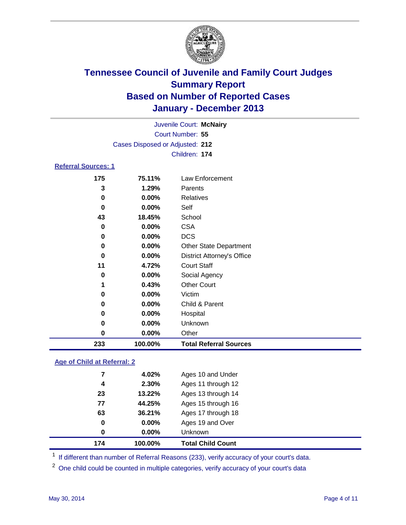

| Juvenile Court: McNairy    |                                 |                                   |  |  |
|----------------------------|---------------------------------|-----------------------------------|--|--|
|                            | Court Number: 55                |                                   |  |  |
|                            | Cases Disposed or Adjusted: 212 |                                   |  |  |
|                            |                                 | Children: 174                     |  |  |
| <b>Referral Sources: 1</b> |                                 |                                   |  |  |
| 175                        | 75.11%                          | Law Enforcement                   |  |  |
| 3                          | 1.29%                           | Parents                           |  |  |
| $\bf{0}$                   | 0.00%                           | <b>Relatives</b>                  |  |  |
| 0                          | 0.00%                           | Self                              |  |  |
| 43                         | 18.45%                          | School                            |  |  |
| 0                          | 0.00%                           | <b>CSA</b>                        |  |  |
| 0                          | 0.00%                           | <b>DCS</b>                        |  |  |
| 0                          | 0.00%                           | <b>Other State Department</b>     |  |  |
| 0                          | 0.00%                           | <b>District Attorney's Office</b> |  |  |
| 11                         | 4.72%                           | <b>Court Staff</b>                |  |  |
| 0                          | 0.00%                           | Social Agency                     |  |  |
| 1                          | 0.43%                           | <b>Other Court</b>                |  |  |
| 0                          | 0.00%                           | Victim                            |  |  |
| 0                          | 0.00%                           | Child & Parent                    |  |  |
| 0                          | 0.00%                           | Hospital                          |  |  |
| 0                          | 0.00%                           | Unknown                           |  |  |
| 0                          | 0.00%                           | Other                             |  |  |
| 233                        | 100.00%                         | <b>Total Referral Sources</b>     |  |  |

### **Age of Child at Referral: 2**

| 174 | 100.00%  | <b>Total Child Count</b> |
|-----|----------|--------------------------|
| 0   | $0.00\%$ | <b>Unknown</b>           |
| 0   | 0.00%    | Ages 19 and Over         |
| 63  | 36.21%   | Ages 17 through 18       |
| 77  | 44.25%   | Ages 15 through 16       |
| 23  | 13.22%   | Ages 13 through 14       |
| 4   | 2.30%    | Ages 11 through 12       |
| 7   | 4.02%    | Ages 10 and Under        |
|     |          |                          |

<sup>1</sup> If different than number of Referral Reasons (233), verify accuracy of your court's data.

<sup>2</sup> One child could be counted in multiple categories, verify accuracy of your court's data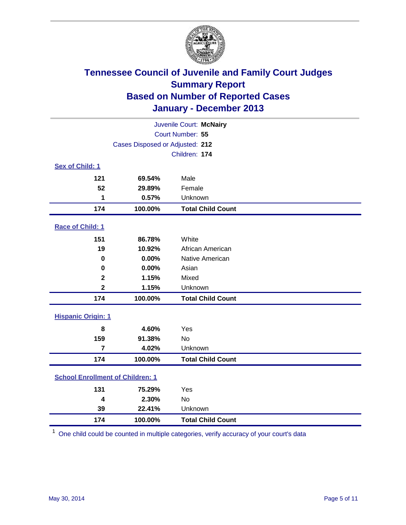

| Juvenile Court: McNairy                 |                                 |                          |  |  |
|-----------------------------------------|---------------------------------|--------------------------|--|--|
|                                         | Court Number: 55                |                          |  |  |
|                                         | Cases Disposed or Adjusted: 212 |                          |  |  |
|                                         |                                 | Children: 174            |  |  |
| Sex of Child: 1                         |                                 |                          |  |  |
| 121                                     | 69.54%                          | Male                     |  |  |
| 52                                      | 29.89%                          | Female                   |  |  |
| 1                                       | 0.57%                           | Unknown                  |  |  |
| 174                                     | 100.00%                         | <b>Total Child Count</b> |  |  |
| Race of Child: 1                        |                                 |                          |  |  |
| 151                                     | 86.78%                          | White                    |  |  |
| 19                                      | 10.92%                          | African American         |  |  |
| $\mathbf 0$                             | 0.00%                           | Native American          |  |  |
| $\bf{0}$                                | 0.00%                           | Asian                    |  |  |
| $\mathbf{2}$                            | 1.15%                           | Mixed                    |  |  |
| $\overline{\mathbf{2}}$                 | 1.15%                           | Unknown                  |  |  |
| 174                                     | 100.00%                         | <b>Total Child Count</b> |  |  |
| <b>Hispanic Origin: 1</b>               |                                 |                          |  |  |
| 8                                       | 4.60%                           | Yes                      |  |  |
| 159                                     | 91.38%                          | <b>No</b>                |  |  |
| $\overline{7}$                          | 4.02%                           | Unknown                  |  |  |
| 174                                     | 100.00%                         | <b>Total Child Count</b> |  |  |
| <b>School Enrollment of Children: 1</b> |                                 |                          |  |  |
| 131                                     | 75.29%                          | Yes                      |  |  |
| $\boldsymbol{4}$                        | 2.30%                           | <b>No</b>                |  |  |
| 39                                      | 22.41%                          | Unknown                  |  |  |
| 174                                     | 100.00%                         | <b>Total Child Count</b> |  |  |

One child could be counted in multiple categories, verify accuracy of your court's data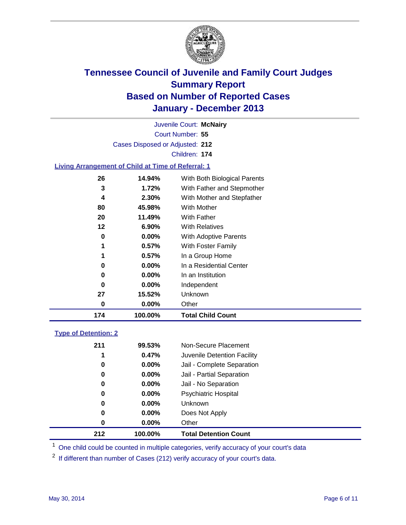

Court Number: **55** Juvenile Court: **McNairy** Cases Disposed or Adjusted: **212** Children: **174**

### **Living Arrangement of Child at Time of Referral: 1**

| 174 | 100.00%  | <b>Total Child Count</b>     |
|-----|----------|------------------------------|
| 0   | 0.00%    | Other                        |
| 27  | 15.52%   | Unknown                      |
| 0   | $0.00\%$ | Independent                  |
| 0   | $0.00\%$ | In an Institution            |
| 0   | $0.00\%$ | In a Residential Center      |
| 1   | 0.57%    | In a Group Home              |
| 1   | 0.57%    | With Foster Family           |
| 0   | $0.00\%$ | <b>With Adoptive Parents</b> |
| 12  | 6.90%    | <b>With Relatives</b>        |
| 20  | 11.49%   | With Father                  |
| 80  | 45.98%   | <b>With Mother</b>           |
| 4   | 2.30%    | With Mother and Stepfather   |
| 3   | 1.72%    | With Father and Stepmother   |
| 26  | 14.94%   | With Both Biological Parents |
|     |          |                              |

### **Type of Detention: 2**

| 212 | 100.00%  | <b>Total Detention Count</b> |  |
|-----|----------|------------------------------|--|
| 0   | 0.00%    | Other                        |  |
| 0   | 0.00%    | Does Not Apply               |  |
| 0   | $0.00\%$ | <b>Unknown</b>               |  |
| 0   | $0.00\%$ | Psychiatric Hospital         |  |
| 0   | 0.00%    | Jail - No Separation         |  |
| 0   | 0.00%    | Jail - Partial Separation    |  |
| 0   | 0.00%    | Jail - Complete Separation   |  |
| 1   | 0.47%    | Juvenile Detention Facility  |  |
| 211 | 99.53%   | Non-Secure Placement         |  |
|     |          |                              |  |

<sup>1</sup> One child could be counted in multiple categories, verify accuracy of your court's data

If different than number of Cases (212) verify accuracy of your court's data.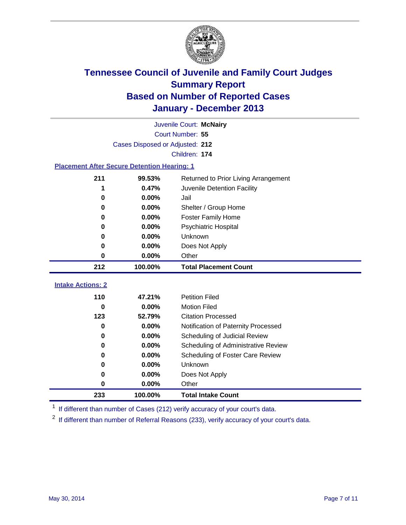

|                                                    | Juvenile Court: McNairy         |                                      |  |  |  |
|----------------------------------------------------|---------------------------------|--------------------------------------|--|--|--|
|                                                    | Court Number: 55                |                                      |  |  |  |
|                                                    | Cases Disposed or Adjusted: 212 |                                      |  |  |  |
|                                                    |                                 | Children: 174                        |  |  |  |
| <b>Placement After Secure Detention Hearing: 1</b> |                                 |                                      |  |  |  |
| 211                                                | 99.53%                          | Returned to Prior Living Arrangement |  |  |  |
| 1                                                  | 0.47%                           | Juvenile Detention Facility          |  |  |  |
| 0                                                  | 0.00%                           | Jail                                 |  |  |  |
| 0                                                  | 0.00%                           | Shelter / Group Home                 |  |  |  |
| $\bf{0}$                                           | 0.00%                           | Foster Family Home                   |  |  |  |
| $\bf{0}$                                           | 0.00%                           | Psychiatric Hospital                 |  |  |  |
| 0                                                  | 0.00%                           | Unknown                              |  |  |  |
| 0                                                  | 0.00%                           | Does Not Apply                       |  |  |  |
| 0                                                  | 0.00%                           | Other                                |  |  |  |
| 212                                                | 100.00%                         | <b>Total Placement Count</b>         |  |  |  |
| <b>Intake Actions: 2</b>                           |                                 |                                      |  |  |  |
|                                                    |                                 |                                      |  |  |  |
| 110                                                | 47.21%                          | <b>Petition Filed</b>                |  |  |  |
| $\bf{0}$                                           | 0.00%                           | <b>Motion Filed</b>                  |  |  |  |
| 123                                                | 52.79%                          | <b>Citation Processed</b>            |  |  |  |
| 0                                                  | 0.00%                           | Notification of Paternity Processed  |  |  |  |
| 0                                                  | 0.00%                           | Scheduling of Judicial Review        |  |  |  |
| 0                                                  | 0.00%                           | Scheduling of Administrative Review  |  |  |  |
| 0                                                  | 0.00%                           | Scheduling of Foster Care Review     |  |  |  |
| 0                                                  | 0.00%                           | Unknown                              |  |  |  |
| 0                                                  | 0.00%                           | Does Not Apply                       |  |  |  |
| 0                                                  | 0.00%                           | Other                                |  |  |  |
| 233                                                | 100.00%                         | <b>Total Intake Count</b>            |  |  |  |

<sup>1</sup> If different than number of Cases (212) verify accuracy of your court's data.

<sup>2</sup> If different than number of Referral Reasons (233), verify accuracy of your court's data.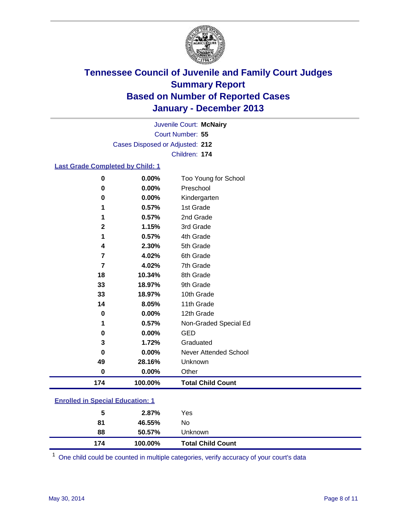

Court Number: **55** Juvenile Court: **McNairy** Cases Disposed or Adjusted: **212** Children: **174**

### **Last Grade Completed by Child: 1**

| $\bf{0}$ | 0.00%   | Too Young for School     |
|----------|---------|--------------------------|
| 0        | 0.00%   | Preschool                |
| 0        | 0.00%   | Kindergarten             |
|          | 0.57%   | 1st Grade                |
|          | 0.57%   | 2nd Grade                |
| 2        | 1.15%   | 3rd Grade                |
| 1        | 0.57%   | 4th Grade                |
| 4        | 2.30%   | 5th Grade                |
| 7        | 4.02%   | 6th Grade                |
| 7        | 4.02%   | 7th Grade                |
| 18       | 10.34%  | 8th Grade                |
| 33       | 18.97%  | 9th Grade                |
| 33       | 18.97%  | 10th Grade               |
| 14       | 8.05%   | 11th Grade               |
| $\bf{0}$ | 0.00%   | 12th Grade               |
| 1        | 0.57%   | Non-Graded Special Ed    |
| 0        | 0.00%   | <b>GED</b>               |
| 3        | 1.72%   | Graduated                |
| O        | 0.00%   | Never Attended School    |
| 49       | 28.16%  | Unknown                  |
| $\bf{0}$ | 0.00%   | Other                    |
| 174      | 100.00% | <b>Total Child Count</b> |

| <b>Enrolled in Special Education: 1</b> |  |
|-----------------------------------------|--|
|                                         |  |

| 5   | 2.87%   | Yes                      |
|-----|---------|--------------------------|
| 81  | 46.55%  | No                       |
| 88  | 50.57%  | Unknown                  |
| 174 | 100.00% | <b>Total Child Count</b> |

One child could be counted in multiple categories, verify accuracy of your court's data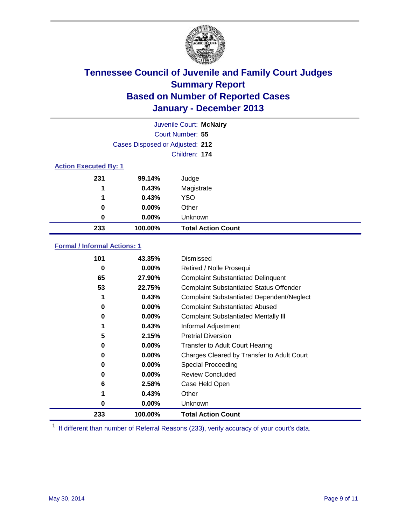

|                              |                                 | Juvenile Court: McNairy   |
|------------------------------|---------------------------------|---------------------------|
|                              |                                 | Court Number: 55          |
|                              | Cases Disposed or Adjusted: 212 |                           |
|                              |                                 | Children: 174             |
| <b>Action Executed By: 1</b> |                                 |                           |
| 231                          | 99.14%                          | Judge                     |
| 1                            | 0.43%                           | Magistrate                |
| 1                            | 0.43%                           | <b>YSO</b>                |
| 0                            | $0.00\%$                        | Other                     |
| 0                            | $0.00\%$                        | Unknown                   |
| 233                          | 100.00%                         | <b>Total Action Count</b> |

### **Formal / Informal Actions: 1**

| 101 | 43.35%   | Dismissed                                        |
|-----|----------|--------------------------------------------------|
| 0   | $0.00\%$ | Retired / Nolle Prosequi                         |
| 65  | 27.90%   | <b>Complaint Substantiated Delinquent</b>        |
| 53  | 22.75%   | <b>Complaint Substantiated Status Offender</b>   |
|     | 0.43%    | <b>Complaint Substantiated Dependent/Neglect</b> |
| 0   | $0.00\%$ | <b>Complaint Substantiated Abused</b>            |
| 0   | $0.00\%$ | <b>Complaint Substantiated Mentally III</b>      |
|     | 0.43%    | Informal Adjustment                              |
| 5   | 2.15%    | <b>Pretrial Diversion</b>                        |
| 0   | 0.00%    | <b>Transfer to Adult Court Hearing</b>           |
| 0   | $0.00\%$ | Charges Cleared by Transfer to Adult Court       |
| 0   | $0.00\%$ | Special Proceeding                               |
| 0   | $0.00\%$ | <b>Review Concluded</b>                          |
| 6   | 2.58%    | Case Held Open                                   |
|     | 0.43%    | Other                                            |
| 0   | $0.00\%$ | <b>Unknown</b>                                   |
| 233 | 100.00%  | <b>Total Action Count</b>                        |

<sup>1</sup> If different than number of Referral Reasons (233), verify accuracy of your court's data.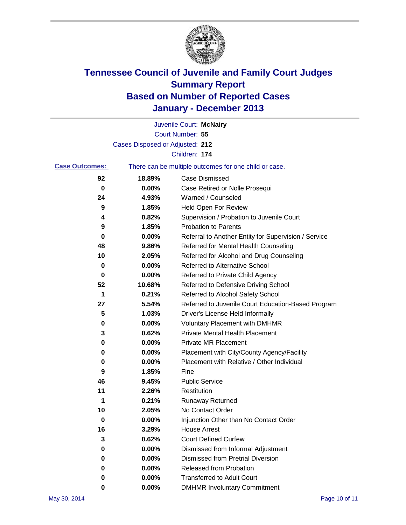

|                       |                                 | Juvenile Court: McNairy                               |
|-----------------------|---------------------------------|-------------------------------------------------------|
|                       |                                 | Court Number: 55                                      |
|                       | Cases Disposed or Adjusted: 212 |                                                       |
|                       |                                 | Children: 174                                         |
| <b>Case Outcomes:</b> |                                 | There can be multiple outcomes for one child or case. |
| 92                    | 18.89%                          | Case Dismissed                                        |
| 0                     | 0.00%                           | Case Retired or Nolle Prosequi                        |
| 24                    | 4.93%                           | Warned / Counseled                                    |
| 9                     | 1.85%                           | Held Open For Review                                  |
| 4                     | 0.82%                           | Supervision / Probation to Juvenile Court             |
| 9                     | 1.85%                           | <b>Probation to Parents</b>                           |
| 0                     | 0.00%                           | Referral to Another Entity for Supervision / Service  |
| 48                    | 9.86%                           | Referred for Mental Health Counseling                 |
| 10                    | 2.05%                           | Referred for Alcohol and Drug Counseling              |
| 0                     | 0.00%                           | <b>Referred to Alternative School</b>                 |
| 0                     | 0.00%                           | Referred to Private Child Agency                      |
| 52                    | 10.68%                          | Referred to Defensive Driving School                  |
| 1                     | 0.21%                           | Referred to Alcohol Safety School                     |
| 27                    | 5.54%                           | Referred to Juvenile Court Education-Based Program    |
| 5                     | 1.03%                           | Driver's License Held Informally                      |
| 0                     | 0.00%                           | <b>Voluntary Placement with DMHMR</b>                 |
| 3                     | 0.62%                           | <b>Private Mental Health Placement</b>                |
| 0                     | 0.00%                           | <b>Private MR Placement</b>                           |
| 0                     | 0.00%                           | Placement with City/County Agency/Facility            |
| 0                     | 0.00%                           | Placement with Relative / Other Individual            |
| 9                     | 1.85%                           | Fine                                                  |
| 46                    | 9.45%                           | <b>Public Service</b>                                 |
| 11                    | 2.26%                           | Restitution                                           |
| 1                     | 0.21%                           | <b>Runaway Returned</b>                               |
| 10                    | 2.05%                           | No Contact Order                                      |
| 0                     | 0.00%                           | Injunction Other than No Contact Order                |
| 16                    | 3.29%                           | <b>House Arrest</b>                                   |
| 3                     | 0.62%                           | <b>Court Defined Curfew</b>                           |
| 0                     | 0.00%                           | Dismissed from Informal Adjustment                    |
| 0                     | 0.00%                           | <b>Dismissed from Pretrial Diversion</b>              |
| 0                     | 0.00%                           | Released from Probation                               |
| 0                     | 0.00%                           | <b>Transferred to Adult Court</b>                     |
| 0                     | $0.00\%$                        | <b>DMHMR Involuntary Commitment</b>                   |